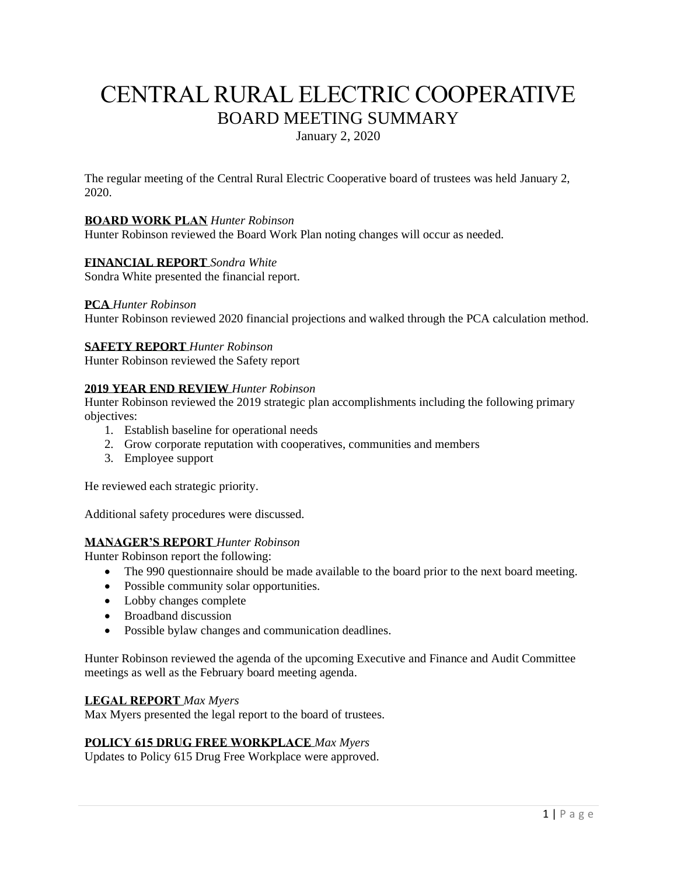# CENTRAL RURAL ELECTRIC COOPERATIVE BOARD MEETING SUMMARY

January 2, 2020

The regular meeting of the Central Rural Electric Cooperative board of trustees was held January 2, 2020.

## **BOARD WORK PLAN** *Hunter Robinson*

Hunter Robinson reviewed the Board Work Plan noting changes will occur as needed.

## **FINANCIAL REPORT** *Sondra White*

Sondra White presented the financial report.

#### **PCA** *Hunter Robinson*

Hunter Robinson reviewed 2020 financial projections and walked through the PCA calculation method.

#### **SAFETY REPORT** *Hunter Robinson*

Hunter Robinson reviewed the Safety report

#### **2019 YEAR END REVIEW** *Hunter Robinson*

Hunter Robinson reviewed the 2019 strategic plan accomplishments including the following primary objectives:

- 1. Establish baseline for operational needs
- 2. Grow corporate reputation with cooperatives, communities and members
- 3. Employee support

He reviewed each strategic priority.

Additional safety procedures were discussed.

## **MANAGER'S REPORT** *Hunter Robinson*

Hunter Robinson report the following:

- The 990 questionnaire should be made available to the board prior to the next board meeting.
- Possible community solar opportunities.
- Lobby changes complete
- Broadband discussion
- Possible bylaw changes and communication deadlines.

Hunter Robinson reviewed the agenda of the upcoming Executive and Finance and Audit Committee meetings as well as the February board meeting agenda.

#### **LEGAL REPORT** *Max Myers*

Max Myers presented the legal report to the board of trustees.

## **POLICY 615 DRUG FREE WORKPLACE** *Max Myers*

Updates to Policy 615 Drug Free Workplace were approved.